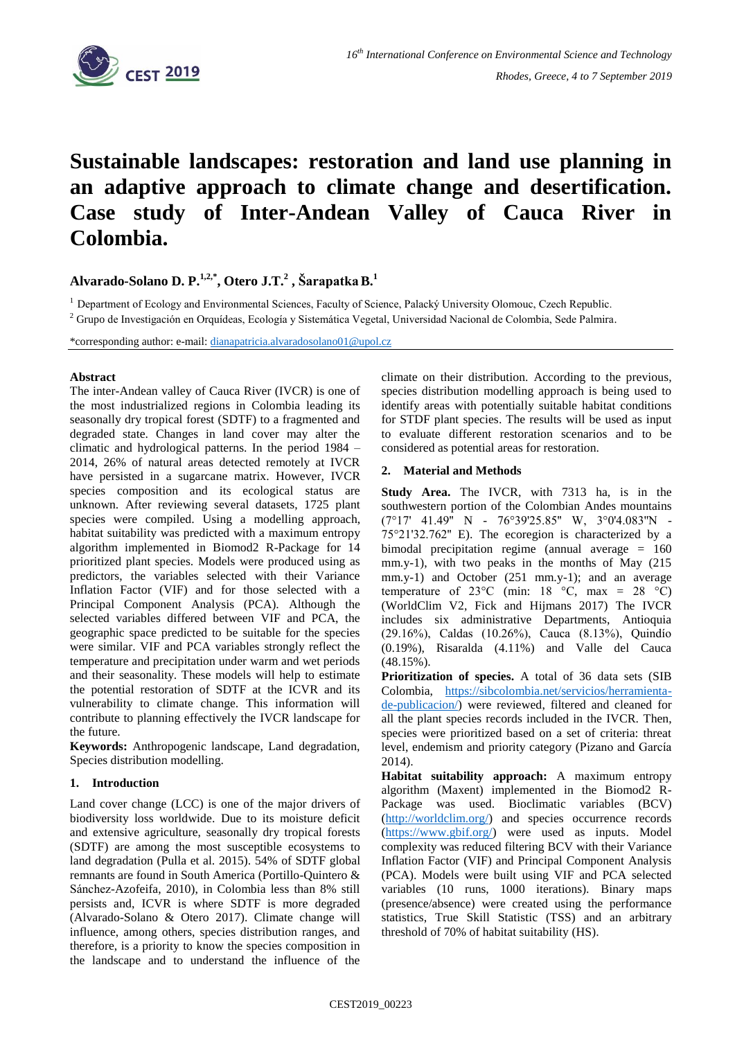

# **Sustainable landscapes: restoration and land use planning in an adaptive approach to climate change and desertification. Case study of Inter-Andean Valley of Cauca River in Colombia.**

**Alvarado-Solano D. P.1,2,\* , Otero J.T.<sup>2</sup> , ŠarapatkaB.<sup>1</sup>**

<sup>1</sup> Department of Ecology and Environmental Sciences, Faculty of Science, Palacký University Olomouc, Czech Republic. <sup>2</sup> Grupo de Investigación en Orquídeas, Ecología y Sistemática Vegetal, Universidad Nacional de Colombia, Sede Palmira.

\*corresponding author: e-mail: [dianapatricia.alvaradosolano01@upol.cz](mailto:dianapatricia.alvaradosolano01@upol.cz)

## **Abstract**

The inter-Andean valley of Cauca River (IVCR) is one of the most industrialized regions in Colombia leading its seasonally dry tropical forest (SDTF) to a fragmented and degraded state. Changes in land cover may alter the climatic and hydrological patterns. In the period 1984 – 2014, 26% of natural areas detected remotely at IVCR have persisted in a sugarcane matrix. However, IVCR species composition and its ecological status are unknown. After reviewing several datasets, 1725 plant species were compiled. Using a modelling approach, habitat suitability was predicted with a maximum entropy algorithm implemented in Biomod2 R-Package for 14 prioritized plant species. Models were produced using as predictors, the variables selected with their Variance Inflation Factor (VIF) and for those selected with a Principal Component Analysis (PCA). Although the selected variables differed between VIF and PCA, the geographic space predicted to be suitable for the species were similar. VIF and PCA variables strongly reflect the temperature and precipitation under warm and wet periods and their seasonality. These models will help to estimate the potential restoration of SDTF at the ICVR and its vulnerability to climate change. This information will contribute to planning effectively the IVCR landscape for the future.

**Keywords:** Anthropogenic landscape, Land degradation, Species distribution modelling.

## **1. Introduction**

Land cover change (LCC) is one of the major drivers of biodiversity loss worldwide. Due to its moisture deficit and extensive agriculture, seasonally dry tropical forests (SDTF) are among the most susceptible ecosystems to land degradation (Pulla et al. 2015). 54% of SDTF global remnants are found in South America (Portillo-Quintero & Sánchez-Azofeifa, 2010), in Colombia less than 8% still persists and, ICVR is where SDTF is more degraded (Alvarado-Solano & Otero 2017). Climate change will influence, among others, species distribution ranges, and therefore, is a priority to know the species composition in the landscape and to understand the influence of the

climate on their distribution. According to the previous, species distribution modelling approach is being used to identify areas with potentially suitable habitat conditions for STDF plant species. The results will be used as input to evaluate different restoration scenarios and to be considered as potential areas for restoration.

## **2. Material and Methods**

**Study Area.** The IVCR, with 7313 ha, is in the southwestern portion of the Colombian Andes mountains (7°17' 41.49'' N - 76°39'25.85'' W, 3°0'4.083''N - 75°21'32.762'' E). The ecoregion is characterized by a bimodal precipitation regime (annual average = 160 mm.y-1), with two peaks in the months of May (215 mm.y-1) and October (251 mm.y-1); and an average temperature of 23 $^{\circ}$ C (min: 18  $^{\circ}$ C, max = 28  $^{\circ}$ C) (WorldClim V2, Fick and Hijmans 2017) The IVCR includes six administrative Departments, Antioquia (29.16%), Caldas (10.26%), Cauca (8.13%), Quindío (0.19%), Risaralda (4.11%) and Valle del Cauca (48.15%).

**Prioritization of species.** A total of 36 data sets (SIB Colombia, [https://sibcolombia.net/servicios/herramienta](https://sibcolombia.net/servicios/herramienta-de-publicacion/)[de-publicacion/\)](https://sibcolombia.net/servicios/herramienta-de-publicacion/) were reviewed, filtered and cleaned for all the plant species records included in the IVCR. Then, species were prioritized based on a set of criteria: threat level, endemism and priority category (Pizano and García 2014).

**Habitat suitability approach:** A maximum entropy algorithm (Maxent) implemented in the Biomod2 R-Package was used. Bioclimatic variables (BCV) [\(http://worldclim.org/\)](http://worldclim.org/) and species occurrence records [\(https://www.gbif.org/\)](https://www.gbif.org/) were used as inputs. Model complexity was reduced filtering BCV with their Variance Inflation Factor (VIF) and Principal Component Analysis (PCA). Models were built using VIF and PCA selected variables (10 runs, 1000 iterations). Binary maps (presence/absence) were created using the performance statistics, True Skill Statistic (TSS) and an arbitrary threshold of 70% of habitat suitability (HS).